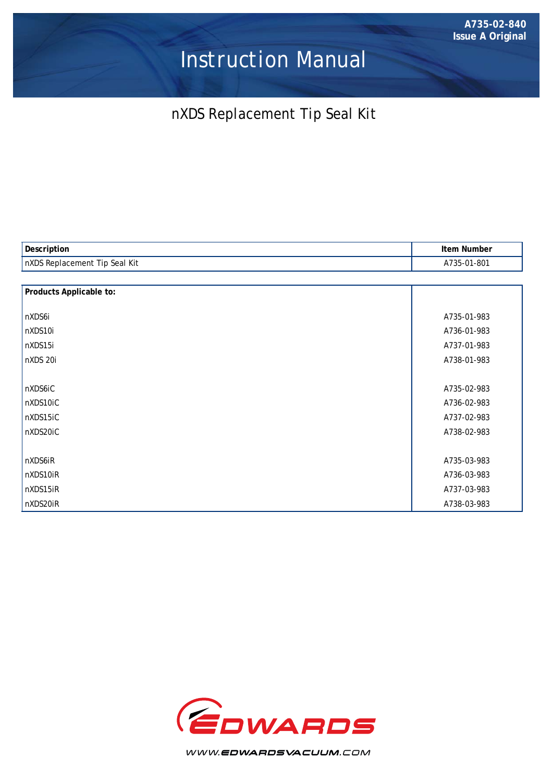# *Instruction Manual*

# nXDS Replacement Tip Seal Kit

| Description                   | Item Number |
|-------------------------------|-------------|
| nXDS Replacement Tip Seal Kit | A735-01-801 |
|                               |             |
| Droducts Applicable to:       |             |

| Products Applicable to: |             |
|-------------------------|-------------|
|                         |             |
| nXDS6i                  | A735-01-983 |
| nXDS10i                 | A736-01-983 |
| nXDS15i                 | A737-01-983 |
| nXDS 20i                | A738-01-983 |
|                         |             |
| nXDS6iC                 | A735-02-983 |
| nXDS10iC                | A736-02-983 |
| nXDS15iC                | A737-02-983 |
| nXDS20iC                | A738-02-983 |
|                         |             |
| nXDS6iR                 | A735-03-983 |
| nXDS10iR                | A736-03-983 |
| nXDS15iR                | A737-03-983 |
| nXDS20iR                | A738-03-983 |



WWW.EDWARDSVACUUM.COM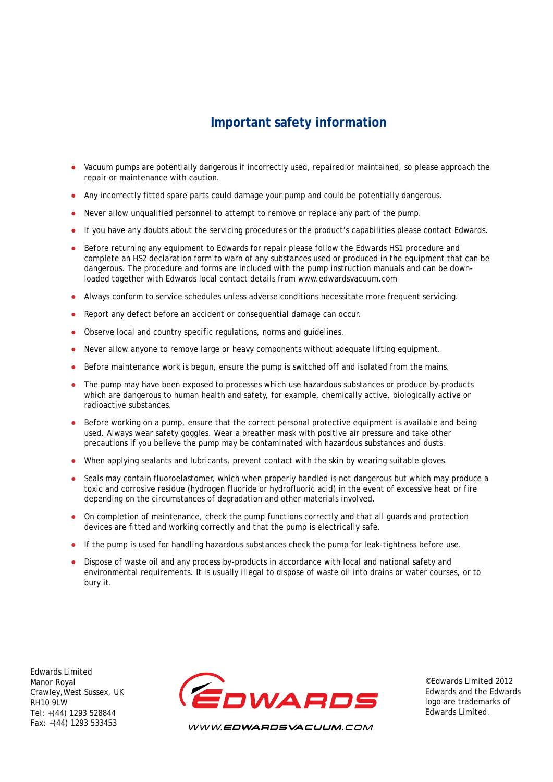## **Important safety information**

- Vacuum pumps are potentially dangerous if incorrectly used, repaired or maintained, so please approach the repair or maintenance with caution.
- Any incorrectly fitted spare parts could damage your pump and could be potentially dangerous.
- Never allow unqualified personnel to attempt to remove or replace any part of the pump.
- If you have any doubts about the servicing procedures or the product's capabilities please contact Edwards.
- Before returning any equipment to Edwards for repair please follow the Edwards HS1 procedure and complete an HS2 declaration form to warn of any substances used or produced in the equipment that can be dangerous. The procedure and forms are included with the pump instruction manuals and can be downloaded together with Edwards local contact details from www.edwardsvacuum.com
- Always conform to service schedules unless adverse conditions necessitate more frequent servicing.
- Report any defect before an accident or consequential damage can occur.
- Observe local and country specific regulations, norms and guidelines.
- Never allow anyone to remove large or heavy components without adequate lifting equipment.
- Before maintenance work is begun, ensure the pump is switched off and isolated from the mains.
- The pump may have been exposed to processes which use hazardous substances or produce by-products which are dangerous to human health and safety, for example, chemically active, biologically active or radioactive substances.
- Before working on a pump, ensure that the correct personal protective equipment is available and being used. Always wear safety goggles. Wear a breather mask with positive air pressure and take other precautions if you believe the pump may be contaminated with hazardous substances and dusts.
- When applying sealants and lubricants, prevent contact with the skin by wearing suitable gloves.
- Seals may contain fluoroelastomer, which when properly handled is not dangerous but which may produce a toxic and corrosive residue (hydrogen fluoride or hydrofluoric acid) in the event of excessive heat or fire depending on the circumstances of degradation and other materials involved.
- On completion of maintenance, check the pump functions correctly and that all guards and protection devices are fitted and working correctly and that the pump is electrically safe.
- If the pump is used for handling hazardous substances check the pump for leak-tightness before use.
- Dispose of waste oil and any process by-products in accordance with local and national safety and environmental requirements. It is usually illegal to dispose of waste oil into drains or water courses, or to bury it.

Edwards Limited Manor Royal Crawley,West Sussex, UK **RH10 9LW** Tel: +(44) 1293 528844 Fax: +(44) 1293 533453



©Edwards Limited 2012 Edwards and the Edwards logo are trademarks of Edwards Limited.

WWW.EDWARDSVACUUM.COM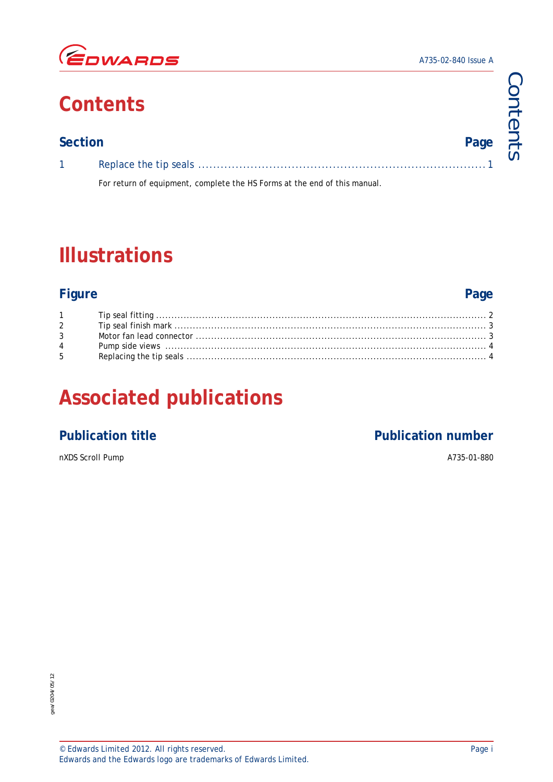

# **Contents**

| <b>Section</b> |                                                                           | Page |
|----------------|---------------------------------------------------------------------------|------|
| $1 \quad$      |                                                                           |      |
|                | For return of equipment, complete the HS Forms at the end of this manual. |      |

# **Illustrations**

## **Figure Page**

| $2^{\circ}$    |  |
|----------------|--|
| 3 <sup>7</sup> |  |
| $\overline{4}$ |  |
| 5 <sup>1</sup> |  |

# **Associated publications**

nXDS Scroll Pump **A735-01-880** 

## **Publication title Publication number**

#### A735-02-840 Issue A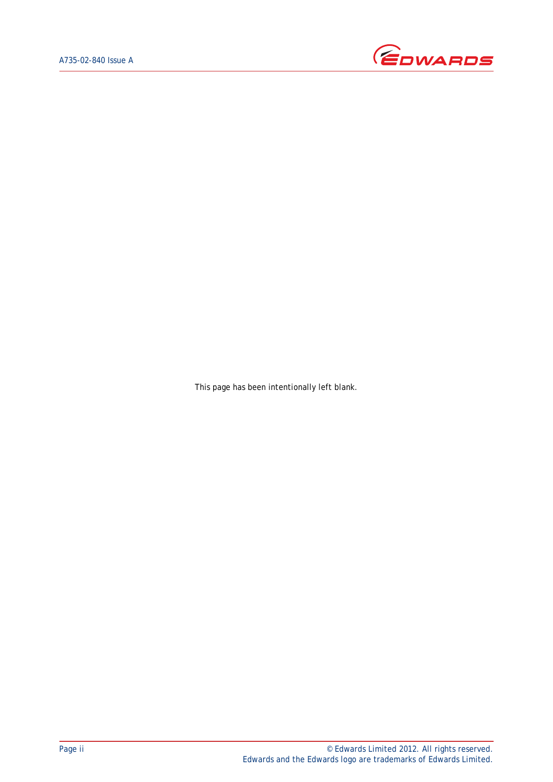

This page has been intentionally left blank.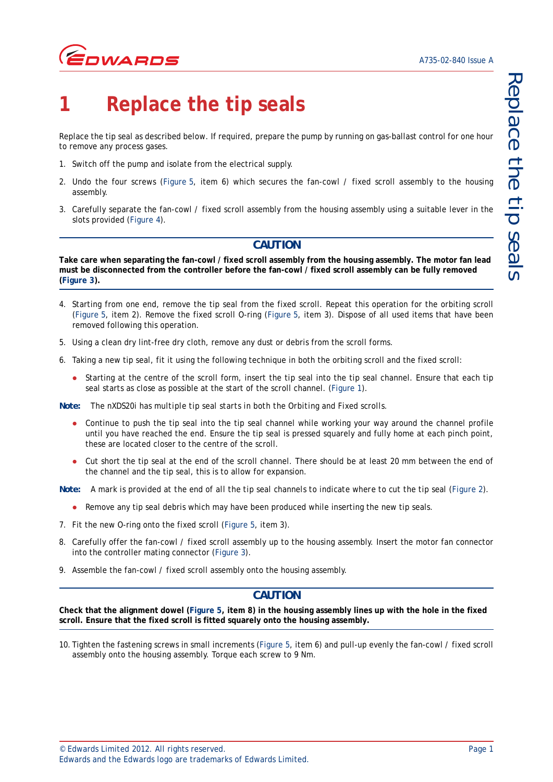

# **1 Replace the tip seals**

Replace the tip seal as described below. If required, prepare the pump by running on gas-ballast control for one hour to remove any process gases.

- 1. Switch off the pump and isolate from the electrical supply.
- 2. Undo the four screws (Figure 5, item 6) which secures the fan-cowl / fixed scroll assembly to the housing assembly.
- 3. Carefully separate the fan-cowl / fixed scroll assembly from the housing assembly using a suitable lever in the slots provided (Figure 4).

## *CAUTION*

**Take care when separating the fan-cowl / fixed scroll assembly from the housing assembly. The motor fan lead must be disconnected from the controller before the fan-cowl / fixed scroll assembly can be fully removed (Figure 3).**

- 4. Starting from one end, remove the tip seal from the fixed scroll. Repeat this operation for the orbiting scroll (Figure 5, item 2). Remove the fixed scroll O-ring (Figure 5, item 3). Dispose of all used items that have been removed following this operation.
- 5. Using a clean dry lint-free dry cloth, remove any dust or debris from the scroll forms.
- 6. Taking a new tip seal, fit it using the following technique in both the orbiting scroll and the fixed scroll:
	- Starting at the centre of the scroll form, insert the tip seal into the tip seal channel. Ensure that each tip seal starts as close as possible at the start of the scroll channel. (Figure 1).
- *Note: The nXDS20i has multiple tip seal starts in both the Orbiting and Fixed scrolls.* 
	- Continue to push the tip seal into the tip seal channel while working your way around the channel profile until you have reached the end. Ensure the tip seal is pressed squarely and fully home at each pinch point, these are located closer to the centre of the scroll.
	- Cut short the tip seal at the end of the scroll channel. There should be at least 20 mm between the end of the channel and the tip seal, this is to allow for expansion.

*Note: A mark is provided at the end of all the tip seal channels to indicate where to cut the tip seal (Figure 2).*

- Remove any tip seal debris which may have been produced while inserting the new tip seals.
- 7. Fit the new O-ring onto the fixed scroll (Figure 5, item 3).
- 8. Carefully offer the fan-cowl / fixed scroll assembly up to the housing assembly. Insert the motor fan connector into the controller mating connector (Figure 3).
- 9. Assemble the fan-cowl / fixed scroll assembly onto the housing assembly.

#### *CAUTION*

**Check that the alignment dowel (Figure 5, item 8) in the housing assembly lines up with the hole in the fixed scroll. Ensure that the fixed scroll is fitted squarely onto the housing assembly.** 

10. Tighten the fastening screws in small increments (Figure 5, item 6) and pull-up evenly the fan-cowl / fixed scroll assembly onto the housing assembly. Torque each screw to 9 Nm.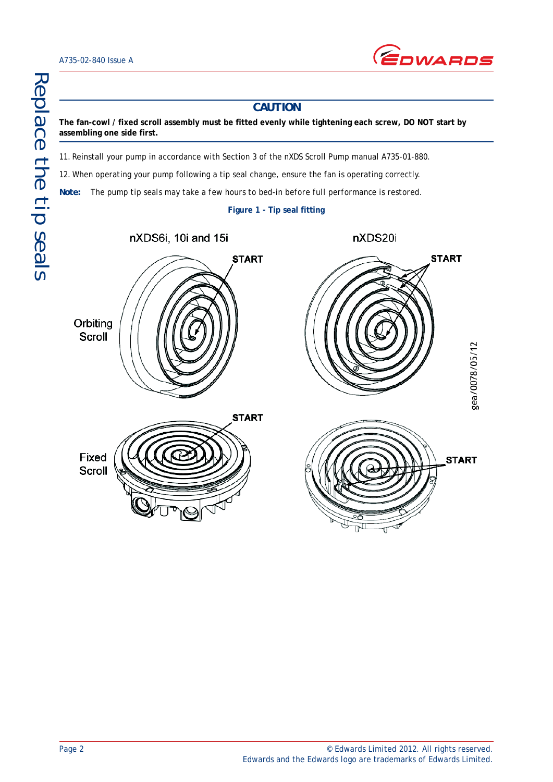

## *CAUTION*

**The fan-cowl / fixed scroll assembly must be fitted evenly while tightening each screw, DO NOT start by assembling one side first.**

11. Reinstall your pump in accordance with Section 3 of the nXDS Scroll Pump manual A735-01-880.

12. When operating your pump following a tip seal change, ensure the fan is operating correctly.

*Note: The pump tip seals may take a few hours to bed-in before full performance is restored.* 

**Figure 1 - Tip seal fitting**

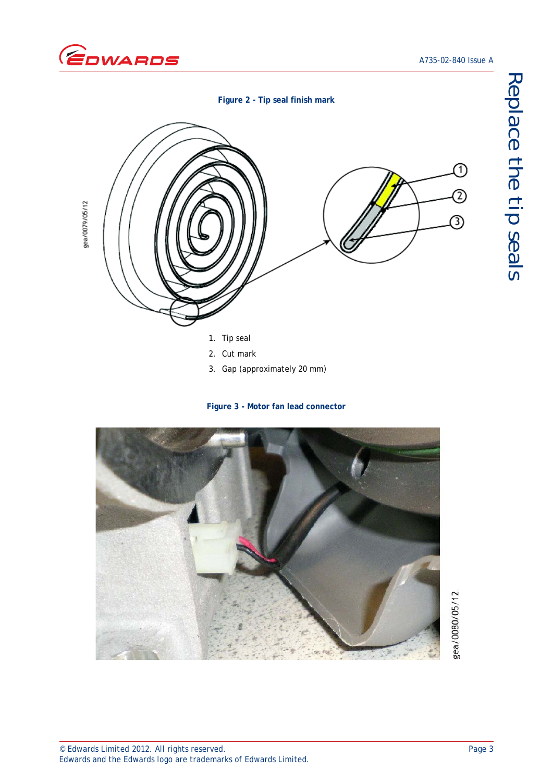

#### **Figure 2 - Tip seal finish mark**



**Figure 3 - Motor fan lead connector**